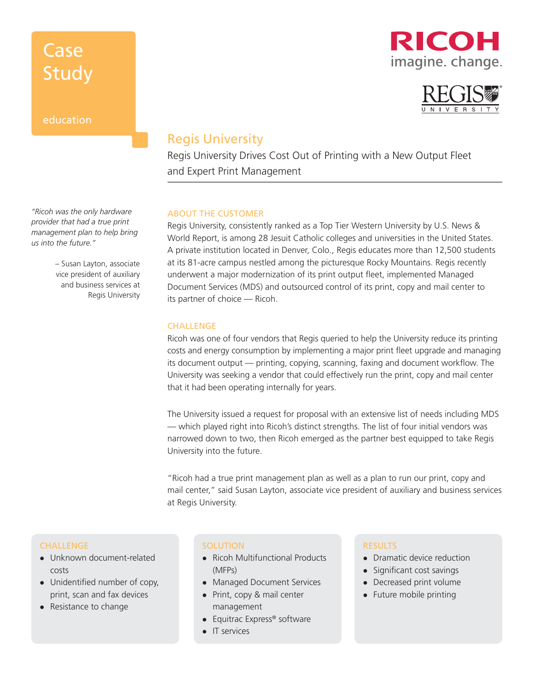### education

### RICOH imagine. change.



### Regis University

Regis University Drives Cost Out of Printing with a New Output Fleet and Expert Print Management

### ABOUT THE CUSTOMER

Regis University, consistently ranked as a Top Tier Western University by U.S. News & World Report, is among 28 Jesuit Catholic colleges and universities in the United States. A private institution located in Denver, Colo., Regis educates more than 12,500 students at its 81-acre campus nestled among the picturesque Rocky Mountains. Regis recently underwent a major modernization of its print output fleet, implemented Managed Document Services (MDS) and outsourced control of its print, copy and mail center to its partner of choice — Ricoh.

### **CHALLENGE**

Ricoh was one of four vendors that Regis queried to help the University reduce its printing costs and energy consumption by implementing a major print fleet upgrade and managing its document output — printing, copying, scanning, faxing and document workflow. The University was seeking a vendor that could effectively run the print, copy and mail center that it had been operating internally for years.

The University issued a request for proposal with an extensive list of needs including MDS — which played right into Ricoh's distinct strengths. The list of four initial vendors was narrowed down to two, then Ricoh emerged as the partner best equipped to take Regis University into the future.

"Ricoh had a true print management plan as well as a plan to run our print, copy and mail center," said Susan Layton, associate vice president of auxiliary and business services at Regis University.

#### **CHALLENGE**

- $\bullet$  Unknown document-related costs
- Unidentified number of copy, print, scan and fax devices
- $\bullet$  Resistance to change

#### **SOLUTION**

- Ricoh Multifunctional Products (MFPs)
- Managed Document Services
- Print, copy & mail center management
- **•** Equitrac Express® software
- $\bullet$  IT services

#### RESULTS

- Dramatic device reduction
- Significant cost savings
- Decreased print volume
- $\bullet$  Future mobile printing

*"Ricoh was the only hardware provider that had a true print management plan to help bring us into the future."*

> – Susan Layton, associate vice president of auxiliary and business services at Regis University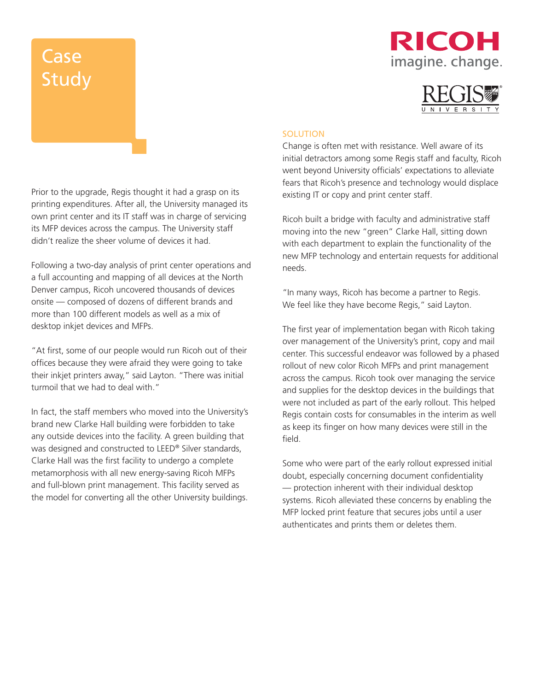### RICOH imagine. change.



#### **SOLUTION**

Change is often met with resistance. Well aware of its initial detractors among some Regis staff and faculty, Ricoh went beyond University officials' expectations to alleviate fears that Ricoh's presence and technology would displace existing IT or copy and print center staff.

Ricoh built a bridge with faculty and administrative staff moving into the new "green" Clarke Hall, sitting down with each department to explain the functionality of the new MFP technology and entertain requests for additional needs.

"In many ways, Ricoh has become a partner to Regis. We feel like they have become Regis," said Layton.

The first year of implementation began with Ricoh taking over management of the University's print, copy and mail center. This successful endeavor was followed by a phased rollout of new color Ricoh MFPs and print management across the campus. Ricoh took over managing the service and supplies for the desktop devices in the buildings that were not included as part of the early rollout. This helped Regis contain costs for consumables in the interim as well as keep its finger on how many devices were still in the field.

Some who were part of the early rollout expressed initial doubt, especially concerning document confidentiality — protection inherent with their individual desktop systems. Ricoh alleviated these concerns by enabling the MFP locked print feature that secures jobs until a user authenticates and prints them or deletes them.

Prior to the upgrade, Regis thought it had a grasp on its printing expenditures. After all, the University managed its own print center and its IT staff was in charge of servicing its MFP devices across the campus. The University staff didn't realize the sheer volume of devices it had.

Following a two-day analysis of print center operations and a full accounting and mapping of all devices at the North Denver campus, Ricoh uncovered thousands of devices onsite — composed of dozens of different brands and more than 100 different models as well as a mix of desktop inkjet devices and MFPs.

"At first, some of our people would run Ricoh out of their offices because they were afraid they were going to take their inkjet printers away," said Layton. "There was initial turmoil that we had to deal with."

In fact, the staff members who moved into the University's brand new Clarke Hall building were forbidden to take any outside devices into the facility. A green building that was designed and constructed to LEED® Silver standards, Clarke Hall was the first facility to undergo a complete metamorphosis with all new energy-saving Ricoh MFPs and full-blown print management. This facility served as the model for converting all the other University buildings.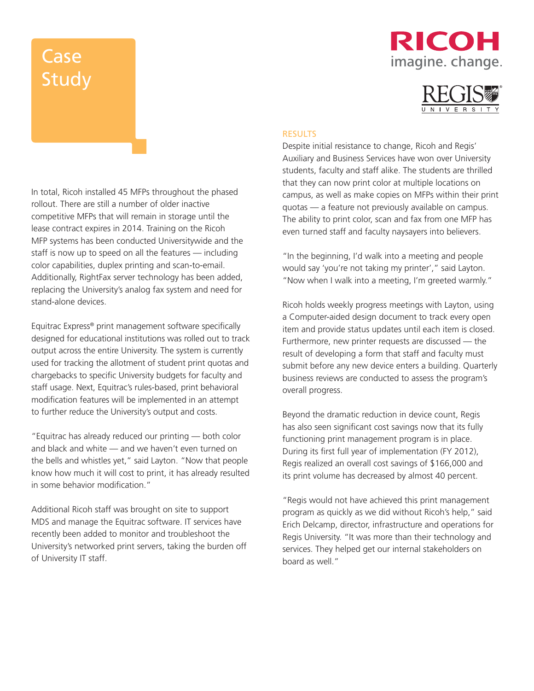## RICOH imagine. change.



#### **RESULTS**

Despite initial resistance to change, Ricoh and Regis' Auxiliary and Business Services have won over University students, faculty and staff alike. The students are thrilled that they can now print color at multiple locations on campus, as well as make copies on MFPs within their print quotas — a feature not previously available on campus. The ability to print color, scan and fax from one MFP has even turned staff and faculty naysayers into believers.

"In the beginning, I'd walk into a meeting and people would say 'you're not taking my printer'," said Layton. "Now when I walk into a meeting, I'm greeted warmly."

Ricoh holds weekly progress meetings with Layton, using a Computer-aided design document to track every open item and provide status updates until each item is closed. Furthermore, new printer requests are discussed — the result of developing a form that staff and faculty must submit before any new device enters a building. Quarterly business reviews are conducted to assess the program's overall progress.

Beyond the dramatic reduction in device count, Regis has also seen significant cost savings now that its fully functioning print management program is in place. During its first full year of implementation (FY 2012), Regis realized an overall cost savings of \$166,000 and its print volume has decreased by almost 40 percent.

"Regis would not have achieved this print management program as quickly as we did without Ricoh's help," said Erich Delcamp, director, infrastructure and operations for Regis University. "It was more than their technology and services. They helped get our internal stakeholders on board as well."

In total, Ricoh installed 45 MFPs throughout the phased rollout. There are still a number of older inactive competitive MFPs that will remain in storage until the lease contract expires in 2014. Training on the Ricoh MFP systems has been conducted Universitywide and the staff is now up to speed on all the features — including color capabilities, duplex printing and scan-to-email. Additionally, RightFax server technology has been added, replacing the University's analog fax system and need for stand-alone devices.

Equitrac Express® print management software specifically designed for educational institutions was rolled out to track output across the entire University. The system is currently used for tracking the allotment of student print quotas and chargebacks to specific University budgets for faculty and staff usage. Next, Equitrac's rules-based, print behavioral modification features will be implemented in an attempt to further reduce the University's output and costs.

"Equitrac has already reduced our printing — both color and black and white — and we haven't even turned on the bells and whistles yet," said Layton. "Now that people know how much it will cost to print, it has already resulted in some behavior modification."

Additional Ricoh staff was brought on site to support MDS and manage the Equitrac software. IT services have recently been added to monitor and troubleshoot the University's networked print servers, taking the burden off of University IT staff.